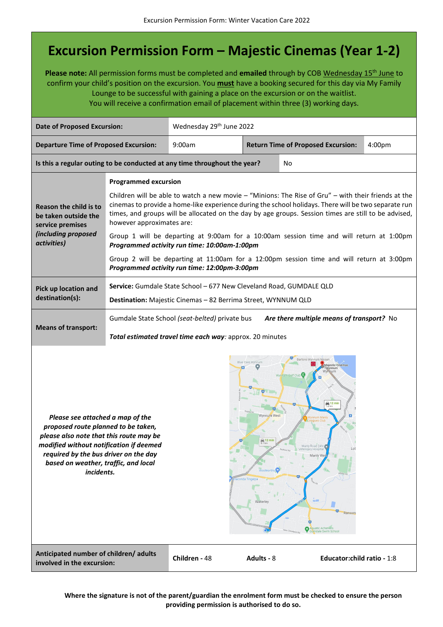## **Excursion Permission Form – Majestic Cinemas (Year 1-2)**

Please note: All permission forms must be completed and emailed through by COB Wednesday 15<sup>th</sup> June to confirm your child's position on the excursion. You **must** have a booking secured for this day via My Family Lounge to be successful with gaining a place on the excursion or on the waitlist. You will receive a confirmation email of placement within three (3) working days.

| <b>Date of Proposed Excursion:</b>                                                                                                                                                                                                                                                                                                                                                                                                                                                                                                                                                  |                                                                                                                                                                                                                                                                                                                                                                                                                                                                                                                                                                                                                                                                          | Wednesday 29th June 2022 |                                           |                             |                    |  |
|-------------------------------------------------------------------------------------------------------------------------------------------------------------------------------------------------------------------------------------------------------------------------------------------------------------------------------------------------------------------------------------------------------------------------------------------------------------------------------------------------------------------------------------------------------------------------------------|--------------------------------------------------------------------------------------------------------------------------------------------------------------------------------------------------------------------------------------------------------------------------------------------------------------------------------------------------------------------------------------------------------------------------------------------------------------------------------------------------------------------------------------------------------------------------------------------------------------------------------------------------------------------------|--------------------------|-------------------------------------------|-----------------------------|--------------------|--|
| <b>Departure Time of Proposed Excursion:</b>                                                                                                                                                                                                                                                                                                                                                                                                                                                                                                                                        |                                                                                                                                                                                                                                                                                                                                                                                                                                                                                                                                                                                                                                                                          | 9:00am                   | <b>Return Time of Proposed Excursion:</b> |                             | 4:00 <sub>pm</sub> |  |
| Is this a regular outing to be conducted at any time throughout the year?                                                                                                                                                                                                                                                                                                                                                                                                                                                                                                           |                                                                                                                                                                                                                                                                                                                                                                                                                                                                                                                                                                                                                                                                          |                          |                                           | No                          |                    |  |
| <b>Reason the child is to</b><br>be taken outside the<br>service premises<br>(including proposed<br>activities)                                                                                                                                                                                                                                                                                                                                                                                                                                                                     | <b>Programmed excursion</b><br>Children will be able to watch a new movie - "Minions: The Rise of Gru" - with their friends at the<br>cinemas to provide a home-like experience during the school holidays. There will be two separate run<br>times, and groups will be allocated on the day by age groups. Session times are still to be advised,<br>however approximates are:<br>Group 1 will be departing at 9:00am for a 10:00am session time and will return at 1:00pm<br>Programmed activity run time: 10:00am-1:00pm<br>Group 2 will be departing at 11:00am for a 12:00pm session time and will return at 3:00pm<br>Programmed activity run time: 12:00pm-3:00pm |                          |                                           |                             |                    |  |
| Pick up location and<br>destination(s):                                                                                                                                                                                                                                                                                                                                                                                                                                                                                                                                             | Service: Gumdale State School - 677 New Cleveland Road, GUMDALE QLD<br>Destination: Majestic Cinemas - 82 Berrima Street, WYNNUM QLD                                                                                                                                                                                                                                                                                                                                                                                                                                                                                                                                     |                          |                                           |                             |                    |  |
| <b>Means of transport:</b>                                                                                                                                                                                                                                                                                                                                                                                                                                                                                                                                                          | Gumdale State School (seat-belted) private bus<br>Are there multiple means of transport? No<br>Total estimated travel time each way: approx. 20 minutes                                                                                                                                                                                                                                                                                                                                                                                                                                                                                                                  |                          |                                           |                             |                    |  |
| Bartons Wynnum Nissan<br>Majestic Cinemas<br>Wynnum<br>Wynnum Golf Club<br>$\bigoplus_{7.6 \text{ km}} 12 \text{ min}$<br>Wynnum West<br>Please see attached a map of the<br>proposed route planned to be taken,<br>please also note that this route may be<br>$\bigoplus_{8.1 \text{ km}} 12 \text{ min}$<br>modified without notification if deemed<br>Manly Road 24hr<br>required by the bus driver on the day<br>Manly Wes<br>based on weather, traffic, and local<br>Woolworths <sup>(</sup><br>incidents.<br>Ransom<br>A <mark>q</mark> uatic Achievers<br>Gumdale Swim Schoo |                                                                                                                                                                                                                                                                                                                                                                                                                                                                                                                                                                                                                                                                          |                          |                                           |                             |                    |  |
| Anticipated number of children/ adults<br>involved in the excursion:                                                                                                                                                                                                                                                                                                                                                                                                                                                                                                                |                                                                                                                                                                                                                                                                                                                                                                                                                                                                                                                                                                                                                                                                          | Children - 48            | Adults - 8                                | Educator: child ratio - 1:8 |                    |  |

**Where the signature is not of the parent/guardian the enrolment form must be checked to ensure the person providing permission is authorised to do so.**